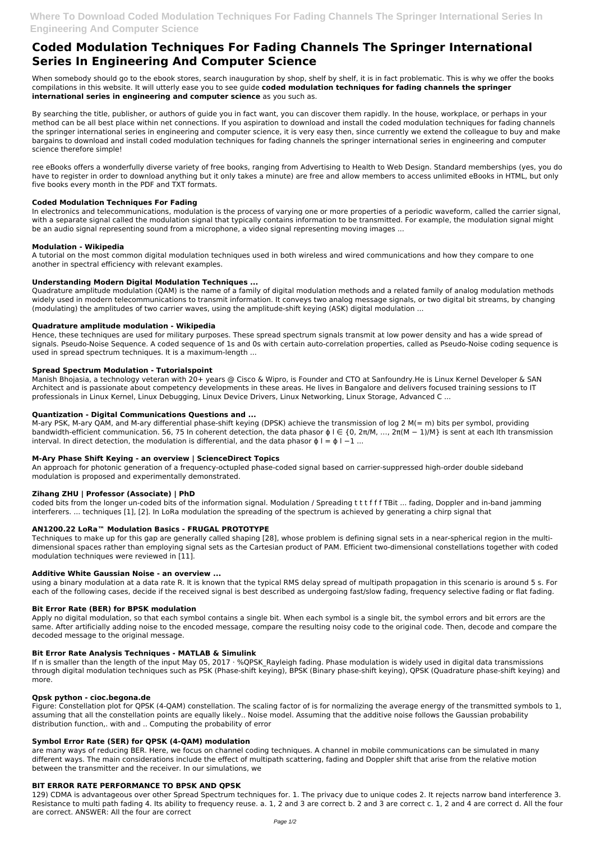# **Coded Modulation Techniques For Fading Channels The Springer International Series In Engineering And Computer Science**

When somebody should go to the ebook stores, search inauguration by shop, shelf by shelf, it is in fact problematic. This is why we offer the books compilations in this website. It will utterly ease you to see guide **coded modulation techniques for fading channels the springer international series in engineering and computer science** as you such as.

By searching the title, publisher, or authors of guide you in fact want, you can discover them rapidly. In the house, workplace, or perhaps in your method can be all best place within net connections. If you aspiration to download and install the coded modulation techniques for fading channels the springer international series in engineering and computer science, it is very easy then, since currently we extend the colleague to buy and make bargains to download and install coded modulation techniques for fading channels the springer international series in engineering and computer science therefore simple!

ree eBooks offers a wonderfully diverse variety of free books, ranging from Advertising to Health to Web Design. Standard memberships (yes, you do have to register in order to download anything but it only takes a minute) are free and allow members to access unlimited eBooks in HTML, but only five books every month in the PDF and TXT formats.

# **Coded Modulation Techniques For Fading**

M-ary PSK, M-ary QAM, and M-ary differential phase-shift keying (DPSK) achieve the transmission of log 2 M(= m) bits per symbol, providing bandwidth-efficient communication. 56, 75 In coherent detection, the data phasor  $φ$  l ∈ {0, 2π/M, ..., 2π(M – 1)/M} is sent at each lth transmission interval. In direct detection, the modulation is differential, and the data phasor  $\phi$  l =  $\phi$  l -1 ...

In electronics and telecommunications, modulation is the process of varying one or more properties of a periodic waveform, called the carrier signal, with a separate signal called the modulation signal that typically contains information to be transmitted. For example, the modulation signal might be an audio signal representing sound from a microphone, a video signal representing moving images ...

# **Modulation - Wikipedia**

A tutorial on the most common digital modulation techniques used in both wireless and wired communications and how they compare to one another in spectral efficiency with relevant examples.

# **Understanding Modern Digital Modulation Techniques ...**

Techniques to make up for this gap are generally called shaping [28], whose problem is defining signal sets in a near-spherical region in the multidimensional spaces rather than employing signal sets as the Cartesian product of PAM. Efficient two-dimensional constellations together with coded modulation techniques were reviewed in [11].

Quadrature amplitude modulation (QAM) is the name of a family of digital modulation methods and a related family of analog modulation methods widely used in modern telecommunications to transmit information. It conveys two analog message signals, or two digital bit streams, by changing (modulating) the amplitudes of two carrier waves, using the amplitude-shift keying (ASK) digital modulation ...

# **Quadrature amplitude modulation - Wikipedia**

Hence, these techniques are used for military purposes. These spread spectrum signals transmit at low power density and has a wide spread of signals. Pseudo-Noise Sequence. A coded sequence of 1s and 0s with certain auto-correlation properties, called as Pseudo-Noise coding sequence is used in spread spectrum techniques. It is a maximum-length ...

If n is smaller than the length of the input May 05, 2017  $\cdot$  %QPSK\_Rayleigh fading. Phase modulation is widely used in digital data transmissions through digital modulation techniques such as PSK (Phase-shift keying), BPSK (Binary phase-shift keying), QPSK (Quadrature phase-shift keying) and more.

### **Spread Spectrum Modulation - Tutorialspoint**

Manish Bhojasia, a technology veteran with 20+ years @ Cisco & Wipro, is Founder and CTO at Sanfoundry.He is Linux Kernel Developer & SAN Architect and is passionate about competency developments in these areas. He lives in Bangalore and delivers focused training sessions to IT professionals in Linux Kernel, Linux Debugging, Linux Device Drivers, Linux Networking, Linux Storage, Advanced C ...

# **Quantization - Digital Communications Questions and ...**

# **M-Ary Phase Shift Keying - an overview | ScienceDirect Topics**

An approach for photonic generation of a frequency-octupled phase-coded signal based on carrier-suppressed high-order double sideband modulation is proposed and experimentally demonstrated.

# **Zihang ZHU | Professor (Associate) | PhD**

coded bits from the longer un-coded bits of the information signal. Modulation / Spreading t t t f f f TBit ... fading, Doppler and in-band jamming interferers. ... techniques [1], [2]. In LoRa modulation the spreading of the spectrum is achieved by generating a chirp signal that

# **AN1200.22 LoRa™ Modulation Basics - FRUGAL PROTOTYPE**

#### **Additive White Gaussian Noise - an overview ...**

using a binary modulation at a data rate R. It is known that the typical RMS delay spread of multipath propagation in this scenario is around 5 s. For each of the following cases, decide if the received signal is best described as undergoing fast/slow fading, frequency selective fading or flat fading.

# **Bit Error Rate (BER) for BPSK modulation**

Apply no digital modulation, so that each symbol contains a single bit. When each symbol is a single bit, the symbol errors and bit errors are the same. After artificially adding noise to the encoded message, compare the resulting noisy code to the original code. Then, decode and compare the

decoded message to the original message.

#### **Bit Error Rate Analysis Techniques - MATLAB & Simulink**

#### **Qpsk python - cioc.begona.de**

Figure: Constellation plot for QPSK (4-QAM) constellation. The scaling factor of is for normalizing the average energy of the transmitted symbols to 1, assuming that all the constellation points are equally likely.. Noise model. Assuming that the additive noise follows the Gaussian probability distribution function,. with and .. Computing the probability of error

#### **Symbol Error Rate (SER) for QPSK (4-QAM) modulation**

are many ways of reducing BER. Here, we focus on channel coding techniques. A channel in mobile communications can be simulated in many different ways. The main considerations include the effect of multipath scattering, fading and Doppler shift that arise from the relative motion between the transmitter and the receiver. In our simulations, we

#### **BIT ERROR RATE PERFORMANCE TO BPSK AND QPSK**

129) CDMA is advantageous over other Spread Spectrum techniques for. 1. The privacy due to unique codes 2. It rejects narrow band interference 3. Resistance to multi path fading 4. Its ability to frequency reuse. a. 1, 2 and 3 are correct b. 2 and 3 are correct c. 1, 2 and 4 are correct d. All the four are correct. ANSWER: All the four are correct